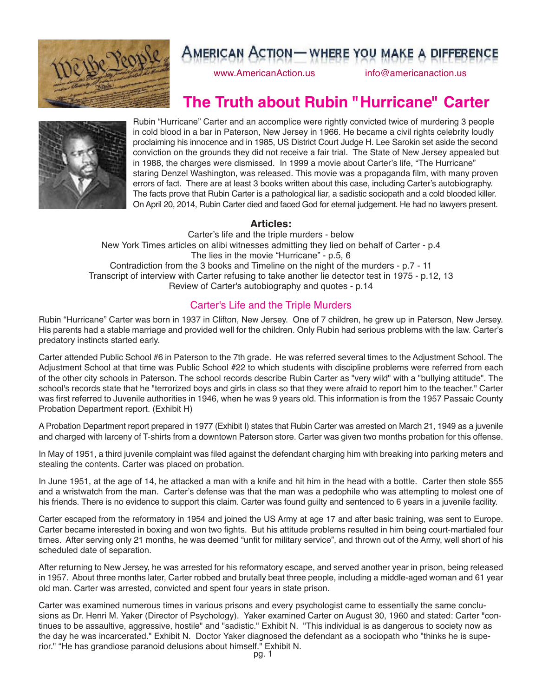

www.AmericanAction.us info@americanaction.us

# **The Truth about Rubin "Hurricane" Carter**



Rubin "Hurricane" Carter and an accomplice were rightly convicted twice of murdering 3 people in cold blood in a bar in Paterson, New Jersey in 1966. He became a civil rights celebrity loudly proclaiming his innocence and in 1985, US District Court Judge H. Lee Sarokin set aside the second conviction on the grounds they did not receive a fair trial. The State of New Jersey appealed but in 1988, the charges were dismissed. In 1999 a movie about Carter's life, "The Hurricane" staring Denzel Washington, was released. This movie was a propaganda film, with many proven errors of fact. There are at least 3 books written about this case, including Carter's autobiography. The facts prove that Rubin Carter is a pathological liar, a sadistic sociopath and a cold blooded killer. OnApril 20, 2014, Rubin Carter died and faced God for eternal judgement. He had no lawyers present.

### **Articles:**

Carter's life and the triple murders - below New York Times articles on alibi witnesses admitting they lied on behalf of Carter - p.4 The lies in the movie "Hurricane" - p.5, 6 Contradiction from the 3 books and Timeline on the night of the murders - p.7 - 11 Transcript of interview with Carter refusing to take another lie detector test in 1975 - p.12, 13 Review of Carter's autobiography and quotes - p.14

### Carter's Life and the Triple Murders

Rubin "Hurricane" Carter was born in 1937 in Clifton, New Jersey. One of 7 children, he grew up in Paterson, New Jersey. His parents had a stable marriage and provided well for the children. Only Rubin had serious problems with the law. Carter's predatory instincts started early.

Carter attended Public School #6 in Paterson to the 7th grade. He was referred several times to the Adjustment School. The Adjustment School at that time was Public School #22 to which students with discipline problems were referred from each of the other city schools in Paterson. The school records describe Rubin Carter as "very wild" with a "bullying attitude". The school's records state that he "terrorized boys and girls in class so that they were afraid to report him to the teacher." Carter was first referred to Juvenile authorities in 1946, when he was 9 years old. This information is from the 1957 Passaic County Probation Department report. (Exhibit H)

A Probation Department report prepared in 1977 (Exhibit I) states that Rubin Carter was arrested on March 21, 1949 as a juvenile and charged with larceny of T-shirts from a downtown Paterson store. Carter was given two months probation for this offense.

In May of 1951, a third juvenile complaint was filed against the defendant charging him with breaking into parking meters and stealing the contents. Carter was placed on probation.

In June 1951, at the age of 14, he attacked a man with a knife and hit him in the head with a bottle. Carter then stole \$55 and a wristwatch from the man. Carter's defense was that the man was a pedophile who was attempting to molest one of his friends. There is no evidence to support this claim. Carter was found guilty and sentenced to 6 years in a juvenile facility.

Carter escaped from the reformatory in 1954 and joined the US Army at age 17 and after basic training, was sent to Europe. Carter became interested in boxing and won two fights. But his attitude problems resulted in him being court-martialed four times. After serving only 21 months, he was deemed "unfit for military service", and thrown out of the Army, well short of his scheduled date of separation.

After returning to New Jersey, he was arrested for his reformatory escape, and served another year in prison, being released in 1957. About three months later, Carter robbed and brutally beat three people, including a middle-aged woman and 61 year old man. Carter was arrested, convicted and spent four years in state prison.

Carter was examined numerous times in various prisons and every psychologist came to essentially the same conclusions as Dr. Henri M. Yaker (Director of Psychology). Yaker examined Carter on August 30, 1960 and stated: Carter "continues to be assaultive, aggressive, hostile" and "sadistic." Exhibit N. "This individual is as dangerous to society now as the day he was incarcerated." Exhibit N. Doctor Yaker diagnosed the defendant as a sociopath who "thinks he is superior." "He has grandiose paranoid delusions about himself." Exhibit N.<br>pg. 1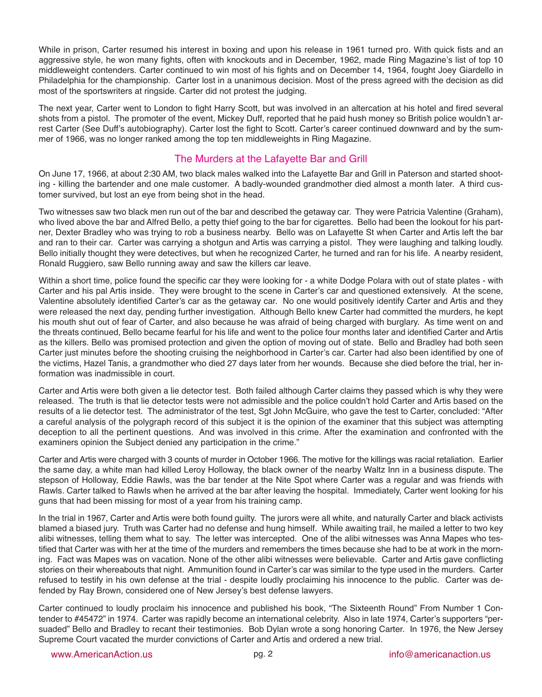While in prison, Carter resumed his interest in boxing and upon his release in 1961 turned pro. With quick fists and an aggressive style, he won many fights, often with knockouts and in December, 1962, made Ring Magazine's list of top 10 middleweight contenders. Carter continued to win most of his fights and on December 14, 1964, fought Joey Giardello in Philadelphia for the championship. Carter lost in a unanimous decision. Most of the press agreed with the decision as did most of the sportswriters at ringside. Carter did not protest the judging.

The next year, Carter went to London to fight Harry Scott, but was involved in an altercation at his hotel and fired several shots from a pistol. The promoter of the event, Mickey Duff, reported that he paid hush money so British police wouldn't arrest Carter (See Duff's autobiography). Carter lost the fight to Scott. Carter's career continued downward and by the summer of 1966, was no longer ranked among the top ten middleweights in Ring Magazine.

### The Murders at the Lafayette Bar and Grill

On June 17, 1966, at about 2:30 AM, two black males walked into the Lafayette Bar and Grill in Paterson and started shooting - killing the bartender and one male customer. A badly-wounded grandmother died almost a month later. A third customer survived, but lost an eye from being shot in the head.

Two witnesses saw two black men run out of the bar and described the getaway car. They were Patricia Valentine (Graham), who lived above the bar and Alfred Bello, a petty thief going to the bar for cigarettes. Bello had been the lookout for his partner, Dexter Bradley who was trying to rob a business nearby. Bello was on Lafayette St when Carter and Artis left the bar and ran to their car. Carter was carrying a shotgun and Artis was carrying a pistol. They were laughing and talking loudly. Bello initially thought they were detectives, but when he recognized Carter, he turned and ran for his life. A nearby resident, Ronald Ruggiero, saw Bello running away and saw the killers car leave.

Within a short time, police found the specific car they were looking for - a white Dodge Polara with out of state plates - with Carter and his pal Artis inside. They were brought to the scene in Carter's car and questioned extensively. At the scene, Valentine absolutely identified Carter's car as the getaway car. No one would positively identify Carter and Artis and they were released the next day, pending further investigation. Although Bello knew Carter had committed the murders, he kept his mouth shut out of fear of Carter, and also because he was afraid of being charged with burglary. As time went on and the threats continued, Bello became fearful for his life and went to the police four months later and identified Carter and Artis as the killers. Bello was promised protection and given the option of moving out of state. Bello and Bradley had both seen Carter just minutes before the shooting cruising the neighborhood in Carter's car. Carter had also been identified by one of the victims, Hazel Tanis, a grandmother who died 27 days later from her wounds. Because she died before the trial, her information was inadmissible in court.

Carter and Artis were both given a lie detector test. Both failed although Carter claims they passed which is why they were released. The truth is that lie detector tests were not admissible and the police couldn't hold Carter and Artis based on the results of a lie detector test. The administrator of the test, Sgt John McGuire, who gave the test to Carter, concluded: "After a careful analysis of the polygraph record of this subject it is the opinion of the examiner that this subject was attempting deception to all the pertinent questions. And was involved in this crime. After the examination and confronted with the examiners opinion the Subject denied any participation in the crime."

Carter and Artis were charged with 3 counts of murder in October 1966. The motive for the killings was racial retaliation. Earlier the same day, a white man had killed Leroy Holloway, the black owner of the nearby Waltz Inn in a business dispute. The stepson of Holloway, Eddie Rawls, was the bar tender at the Nite Spot where Carter was a regular and was friends with Rawls. Carter talked to Rawls when he arrived at the bar after leaving the hospital. Immediately, Carter went looking for his guns that had been missing for most of a year from his training camp.

In the trial in 1967, Carter and Artis were both found guilty. The jurors were all white, and naturally Carter and black activists blamed a biased jury. Truth was Carter had no defense and hung himself. While awaiting trail, he mailed a letter to two key alibi witnesses, telling them what to say. The letter was intercepted. One of the alibi witnesses was Anna Mapes who testified that Carter was with her at the time of the murders and remembers the times because she had to be at work in the morning. Fact was Mapes was on vacation. None of the other alibi witnesses were believable. Carter and Artis gave conflicting stories on their whereabouts that night. Ammunition found in Carter's car was similar to the type used in the murders. Carter refused to testify in his own defense at the trial - despite loudly proclaiming his innocence to the public. Carter was defended by Ray Brown, considered one of New Jersey's best defense lawyers.

Carter continued to loudly proclaim his innocence and published his book, "The Sixteenth Round" From Number 1 Contender to #45472" in 1974. Carter was rapidly become an international celebrity. Also in late 1974, Carter's supporters "persuaded" Bello and Bradley to recant their testimonies. Bob Dylan wrote a song honoring Carter. In 1976, the New Jersey Supreme Court vacated the murder convictions of Carter and Artis and ordered a new trial.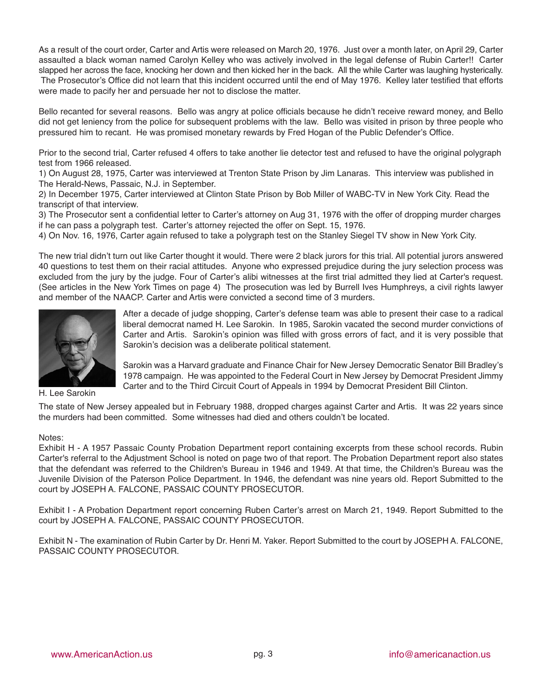As a result of the court order, Carter and Artis were released on March 20, 1976. Just over a month later, on April 29, Carter assaulted a black woman named Carolyn Kelley who was actively involved in the legal defense of Rubin Carter!! Carter slapped her across the face, knocking her down and then kicked her in the back. All the while Carter was laughing hysterically. The Prosecutor's Office did not learn that this incident occurred until the end of May 1976. Kelley later testified that efforts were made to pacify her and persuade her not to disclose the matter.

Bello recanted for several reasons. Bello was angry at police officials because he didn't receive reward money, and Bello did not get leniency from the police for subsequent problems with the law. Bello was visited in prison by three people who pressured him to recant. He was promised monetary rewards by Fred Hogan of the Public Defender's Office.

Prior to the second trial, Carter refused 4 offers to take another lie detector test and refused to have the original polygraph test from 1966 released.

1) On August 28, 1975, Carter was interviewed at Trenton State Prison by Jim Lanaras. This interview was published in The Herald-News, Passaic, N.J. in September.

2) In December 1975, Carter interviewed at Clinton State Prison by Bob Miller of WABC-TV in New York City. Read the transcript of that interview.

3) The Prosecutor sent a confidential letter to Carter's attorney on Aug 31, 1976 with the offer of dropping murder charges if he can pass a polygraph test. Carter's attorney rejected the offer on Sept. 15, 1976.

4) On Nov. 16, 1976, Carter again refused to take a polygraph test on the Stanley Siegel TV show in New York City.

The new trial didn't turn out like Carter thought it would. There were 2 black jurors for this trial. All potential jurors answered 40 questions to test them on their racial attitudes. Anyone who expressed prejudice during the jury selection process was excluded from the jury by the judge. Four of Carter's alibi witnesses at the first trial admitted they lied at Carter's request. (See articles in the New York Times on page 4) The prosecution was led by Burrell Ives Humphreys, a civil rights lawyer and member of the NAACP. Carter and Artis were convicted a second time of 3 murders.



After a decade of judge shopping, Carter's defense team was able to present their case to a radical liberal democrat named H. Lee Sarokin. In 1985, Sarokin vacated the second murder convictions of Carter and Artis. Sarokin's opinion was filled with gross errors of fact, and it is very possible that Sarokin's decision was a deliberate political statement.

Sarokin was a Harvard graduate and Finance Chair for New Jersey Democratic Senator Bill Bradley's 1978 campaign. He was appointed to the Federal Court in New Jersey by Democrat President Jimmy Carter and to the Third Circuit Court of Appeals in 1994 by Democrat President Bill Clinton.

H. Lee Sarokin

The state of New Jersey appealed but in February 1988, dropped charges against Carter and Artis. It was 22 years since the murders had been committed. Some witnesses had died and others couldn't be located.

#### Notes:

Exhibit H - A 1957 Passaic County Probation Department report containing excerpts from these school records. Rubin Carter's referral to the Adjustment School is noted on page two of that report. The Probation Department report also states that the defendant was referred to the Children's Bureau in 1946 and 1949. At that time, the Children's Bureau was the Juvenile Division of the Paterson Police Department. In 1946, the defendant was nine years old. Report Submitted to the court by JOSEPH A. FALCONE, PASSAIC COUNTY PROSECUTOR.

Exhibit I - A Probation Department report concerning Ruben Carter's arrest on March 21, 1949. Report Submitted to the court by JOSEPH A. FALCONE, PASSAIC COUNTY PROSECUTOR.

Exhibit N - The examination of Rubin Carter by Dr. Henri M. Yaker. Report Submitted to the court by JOSEPH A. FALCONE, PASSAIC COUNTY PROSECUTOR.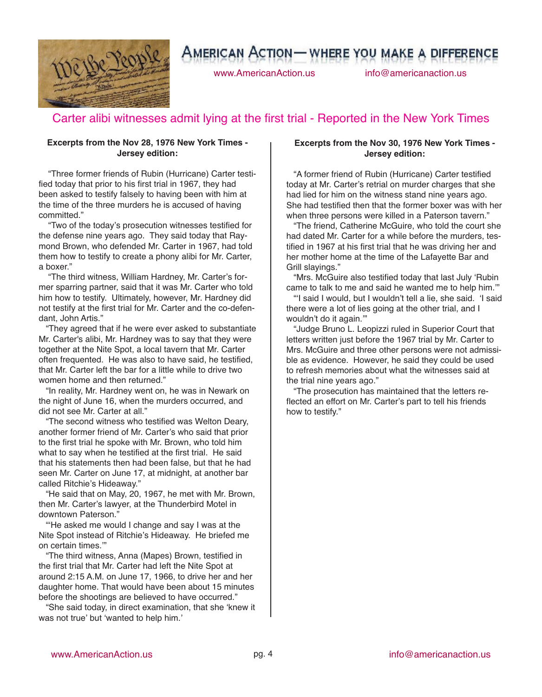

www.AmericanAction.us info@americanaction.us

## Carter alibi witnesses admit lying at the first trial - Reported in the New York Times

#### **Excerpts from the Nov 28, 1976 New York Times - Jersey edition:**

"Three former friends of Rubin (Hurricane) Carter testified today that prior to his first trial in 1967, they had been asked to testify falsely to having been with him at the time of the three murders he is accused of having committed."

"Two of the today's prosecution witnesses testified for the defense nine years ago. They said today that Raymond Brown, who defended Mr. Carter in 1967, had told them how to testify to create a phony alibi for Mr. Carter, a boxer."

"The third witness, William Hardney, Mr. Carter's former sparring partner, said that it was Mr. Carter who told him how to testify. Ultimately, however, Mr. Hardney did not testify at the first trial for Mr. Carter and the co-defendant, John Artis."

"They agreed that if he were ever asked to substantiate Mr. Carter's alibi, Mr. Hardney was to say that they were together at the Nite Spot, a local tavern that Mr. Carter often frequented. He was also to have said, he testified, that Mr. Carter left the bar for a little while to drive two women home and then returned."

"In reality, Mr. Hardney went on, he was in Newark on the night of June 16, when the murders occurred, and did not see Mr. Carter at all."

"The second witness who testified was Welton Deary, another former friend of Mr. Carter's who said that prior to the first trial he spoke with Mr. Brown, who told him what to say when he testified at the first trial. He said that his statements then had been false, but that he had seen Mr. Carter on June 17, at midnight, at another bar called Ritchie's Hideaway."

"He said that on May, 20, 1967, he met with Mr. Brown, then Mr. Carter's lawyer, at the Thunderbird Motel in downtown Paterson."

"ʻHe asked me would I change and say I was at the Nite Spot instead of Ritchie's Hideaway. He briefed me on certain times.'"

"The third witness, Anna (Mapes) Brown, testified in the first trial that Mr. Carter had left the Nite Spot at around 2:15 A.M. on June 17, 1966, to drive her and her daughter home. That would have been about 15 minutes before the shootings are believed to have occurred."

"She said today, in direct examination, that she ʻknew it was not true' but ʻwanted to help him.'

#### **Excerpts from the Nov 30, 1976 New York Times - Jersey edition:**

"A former friend of Rubin (Hurricane) Carter testified today at Mr. Carter's retrial on murder charges that she had lied for him on the witness stand nine years ago. She had testified then that the former boxer was with her when three persons were killed in a Paterson tavern."

"The friend, Catherine McGuire, who told the court she had dated Mr. Carter for a while before the murders, testified in 1967 at his first trial that he was driving her and her mother home at the time of the Lafayette Bar and Grill slayings."

"Mrs. McGuire also testified today that last July ʻRubin came to talk to me and said he wanted me to help him.'"

"ʻI said I would, but I wouldn't tell a lie, she said. ʻI said there were a lot of lies going at the other trial, and I wouldn't do it again.'"

"Judge Bruno L. Leopizzi ruled in Superior Court that letters written just before the 1967 trial by Mr. Carter to Mrs. McGuire and three other persons were not admissible as evidence. However, he said they could be used to refresh memories about what the witnesses said at the trial nine years ago."

"The prosecution has maintained that the letters reflected an effort on Mr. Carter's part to tell his friends how to testify."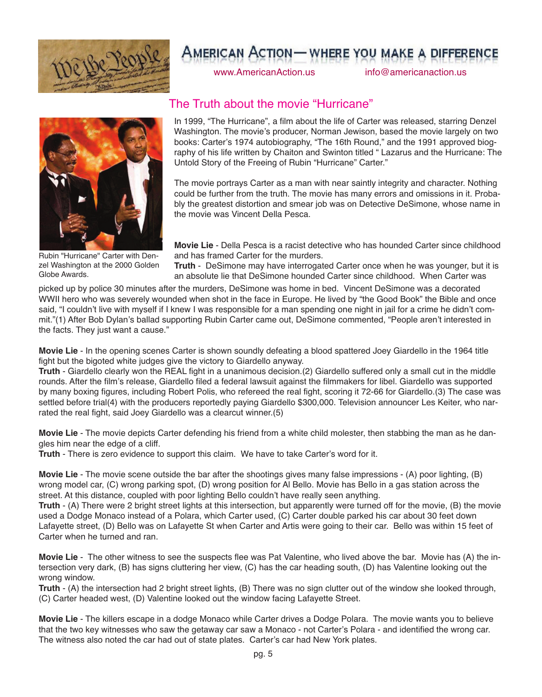

www.AmericanAction.us info@americanaction.us



Rubin "Hurricane" Carter with Denzel Washington at the 2000 Golden Globe Awards.

### The Truth about the movie "Hurricane"

In 1999, "The Hurricane", a film about the life of Carter was released, starring Denzel Washington. The movie's producer, Norman Jewison, based the movie largely on two books: Carter's 1974 autobiography, "The 16th Round," and the 1991 approved biography of his life written by Chaiton and Swinton titled " Lazarus and the Hurricane: The Untold Story of the Freeing of Rubin "Hurricane" Carter."

The movie portrays Carter as a man with near saintly integrity and character. Nothing could be further from the truth. The movie has many errors and omissions in it. Probably the greatest distortion and smear job was on Detective DeSimone, whose name in the movie was Vincent Della Pesca.

**Movie Lie** - Della Pesca is a racist detective who has hounded Carter since childhood and has framed Carter for the murders.

**Truth** - DeSimone may have interrogated Carter once when he was younger, but it is an absolute lie that DeSimone hounded Carter since childhood. When Carter was

picked up by police 30 minutes after the murders, DeSimone was home in bed. Vincent DeSimone was a decorated WWII hero who was severely wounded when shot in the face in Europe. He lived by "the Good Book" the Bible and once said, "I couldn't live with myself if I knew I was responsible for a man spending one night in jail for a crime he didn't commit."(1) After Bob Dylan's ballad supporting Rubin Carter came out, DeSimone commented, "People aren't interested in the facts. They just want a cause."

**Movie Lie** - In the opening scenes Carter is shown soundly defeating a blood spattered Joey Giardello in the 1964 title fight but the bigoted white judges give the victory to Giardello anyway.

**Truth** - Giardello clearly won the REAL fight in a unanimous decision.(2) Giardello suffered only a small cut in the middle rounds. After the film's release, Giardello filed a federal lawsuit against the filmmakers for libel. Giardello was supported by many boxing figures, including Robert Polis, who refereed the real fight, scoring it 72-66 for Giardello.(3) The case was settled before trial(4) with the producers reportedly paying Giardello \$300,000. Television announcer Les Keiter, who narrated the real fight, said Joey Giardello was a clearcut winner.(5)

**Movie Lie** - The movie depicts Carter defending his friend from a white child molester, then stabbing the man as he dangles him near the edge of a cliff.

**Truth** - There is zero evidence to support this claim. We have to take Carter's word for it.

**Movie Lie** - The movie scene outside the bar after the shootings gives many false impressions - (A) poor lighting, (B) wrong model car, (C) wrong parking spot, (D) wrong position for Al Bello. Movie has Bello in a gas station across the street. At this distance, coupled with poor lighting Bello couldn't have really seen anything.

**Truth** - (A) There were 2 bright street lights at this intersection, but apparently were turned off for the movie, (B) the movie used a Dodge Monaco instead of a Polara, which Carter used, (C) Carter double parked his car about 30 feet down Lafayette street, (D) Bello was on Lafayette St when Carter and Artis were going to their car. Bello was within 15 feet of Carter when he turned and ran.

**Movie Lie** - The other witness to see the suspects flee was Pat Valentine, who lived above the bar. Movie has (A) the intersection very dark, (B) has signs cluttering her view, (C) has the car heading south, (D) has Valentine looking out the wrong window.

**Truth** - (A) the intersection had 2 bright street lights, (B) There was no sign clutter out of the window she looked through, (C) Carter headed west, (D) Valentine looked out the window facing Lafayette Street.

**Movie Lie** - The killers escape in a dodge Monaco while Carter drives a Dodge Polara. The movie wants you to believe that the two key witnesses who saw the getaway car saw a Monaco - not Carter's Polara - and identified the wrong car. The witness also noted the car had out of state plates. Carter's car had New York plates.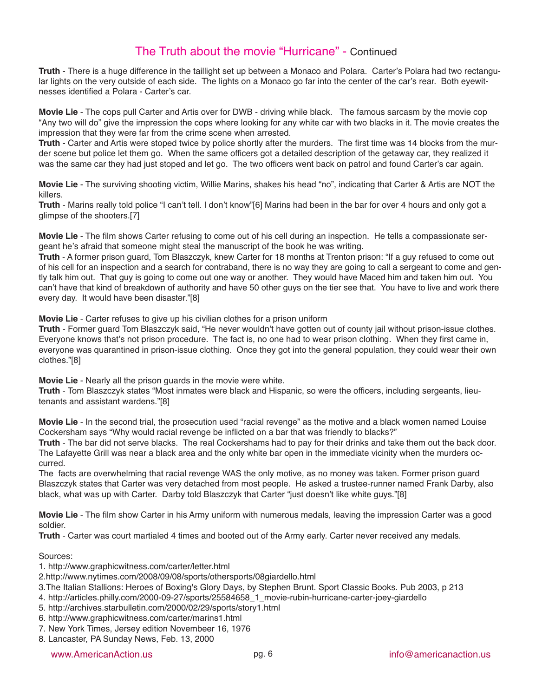### The Truth about the movie "Hurricane" - Continued

**Truth** - There is a huge difference in the taillight set up between a Monaco and Polara. Carter's Polara had two rectangular lights on the very outside of each side. The lights on a Monaco go far into the center of the car's rear. Both eyewitnesses identified a Polara - Carter's car.

**Movie Lie** - The cops pull Carter and Artis over for DWB - driving while black. The famous sarcasm by the movie cop "Any two will do" give the impression the cops where looking for any white car with two blacks in it. The movie creates the impression that they were far from the crime scene when arrested.

**Truth** - Carter and Artis were stoped twice by police shortly after the murders. The first time was 14 blocks from the murder scene but police let them go. When the same officers got a detailed description of the getaway car, they realized it was the same car they had just stoped and let go. The two officers went back on patrol and found Carter's car again.

**Movie Lie** - The surviving shooting victim, Willie Marins, shakes his head "no", indicating that Carter & Artis are NOT the killers.

**Truth** - Marins really told police "I can't tell. I don't know"[6] Marins had been in the bar for over 4 hours and only got a glimpse of the shooters.[7]

**Movie Lie** - The film shows Carter refusing to come out of his cell during an inspection. He tells a compassionate sergeant he's afraid that someone might steal the manuscript of the book he was writing.

**Truth** - A former prison guard, Tom Blaszczyk, knew Carter for 18 months at Trenton prison: "If a guy refused to come out of his cell for an inspection and a search for contraband, there is no way they are going to call a sergeant to come and gently talk him out. That guy is going to come out one way or another. They would have Maced him and taken him out. You can't have that kind of breakdown of authority and have 50 other guys on the tier see that. You have to live and work there every day. It would have been disaster."[8]

**Movie Lie** - Carter refuses to give up his civilian clothes for a prison uniform

**Truth** - Former guard Tom Blaszczyk said, "He never wouldn't have gotten out of county jail without prison-issue clothes. Everyone knows that's not prison procedure. The fact is, no one had to wear prison clothing. When they first came in, everyone was quarantined in prison-issue clothing. Once they got into the general population, they could wear their own clothes."[8]

**Movie Lie** - Nearly all the prison guards in the movie were white.

**Truth** - Tom Blaszczyk states "Most inmates were black and Hispanic, so were the officers, including sergeants, lieutenants and assistant wardens."[8]

**Movie Lie** - In the second trial, the prosecution used "racial revenge" as the motive and a black women named Louise Cockersham says "Why would racial revenge be inflicted on a bar that was friendly to blacks?"

**Truth** - The bar did not serve blacks. The real Cockershams had to pay for their drinks and take them out the back door. The Lafayette Grill was near a black area and the only white bar open in the immediate vicinity when the murders occurred.

The facts are overwhelming that racial revenge WAS the only motive, as no money was taken. Former prison guard Blaszczyk states that Carter was very detached from most people. He asked a trustee-runner named Frank Darby, also black, what was up with Carter. Darby told Blaszczyk that Carter "just doesn't like white guys."[8]

**Movie Lie** - The film show Carter in his Army uniform with numerous medals, leaving the impression Carter was a good soldier.

**Truth** - Carter was court martialed 4 times and booted out of the Army early. Carter never received any medals.

Sources:

- 1. http://www.graphicwitness.com/carter/letter.html
- 2.http://www.nytimes.com/2008/09/08/sports/othersports/08giardello.html
- 3.The Italian Stallions: Heroes of Boxing's Glory Days, by Stephen Brunt. Sport Classic Books. Pub 2003, p 213

4. http://articles.philly.com/2000-09-27/sports/25584658\_1\_movie-rubin-hurricane-carter-joey-giardello

- 5. http://archives.starbulletin.com/2000/02/29/sports/story1.html
- 6. http://www.graphicwitness.com/carter/marins1.html
- 7. New York Times, Jersey edition Novembeer 16, 1976
- 8. Lancaster, PA Sunday News, Feb. 13, 2000

www.AmericanAction.us info@americanaction.us pg. 6 info@americanaction.us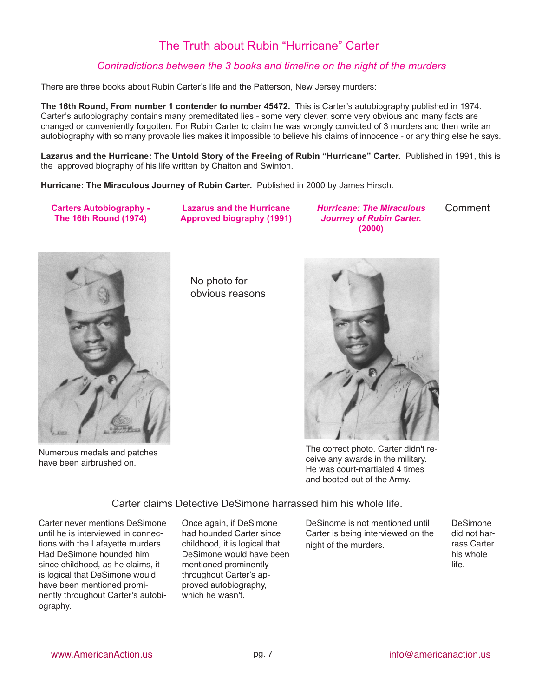## The Truth about Rubin "Hurricane" Carter

### *Contradictions between the 3 books and timeline on the night of the murders*

There are three books about Rubin Carter's life and the Patterson, New Jersey murders:

**The 16th Round, From number 1 contender to number 45472.** This is Carter's autobiography published in 1974. Carter's autobiography contains many premeditated lies - some very clever, some very obvious and many facts are changed or conveniently forgotten. For Rubin Carter to claim he was wrongly convicted of 3 murders and then write an autobiography with so many provable lies makes it impossible to believe his claims of innocence - or any thing else he says.

**Lazarus and the Hurricane: The Untold Story of the Freeing of Rubin "Hurricane" Carter.** Published in 1991, this is the approved biography of his life written by Chaiton and Swinton.

**Hurricane: The Miraculous Journey of Rubin Carter.** Published in 2000 by James Hirsch.

**Carters Autobiography - The 16th Round (1974)**

**Lazarus and the Hurricane Approved biography (1991)** *Hurricane: The Miraculous Journey of Rubin Carter.* **(2000) Comment** 



Numerous medals and patches have been airbrushed on.

No photo for obvious reasons



The correct photo. Carter didn't receive any awards in the military. He was court-martialed 4 times and booted out of the Army.

Carter claims Detective DeSimone harrassed him his whole life.

Carter never mentions DeSimone until he is interviewed in connections with the Lafayette murders. Had DeSimone hounded him since childhood, as he claims, it is logical that DeSimone would have been mentioned prominently throughout Carter's autobiography.

Once again, if DeSimone had hounded Carter since childhood, it is logical that DeSimone would have been mentioned prominently throughout Carter's approved autobiography, which he wasn't.

DeSinome is not mentioned until Carter is being interviewed on the night of the murders.

DeSimone did not harrass Carter his whole life.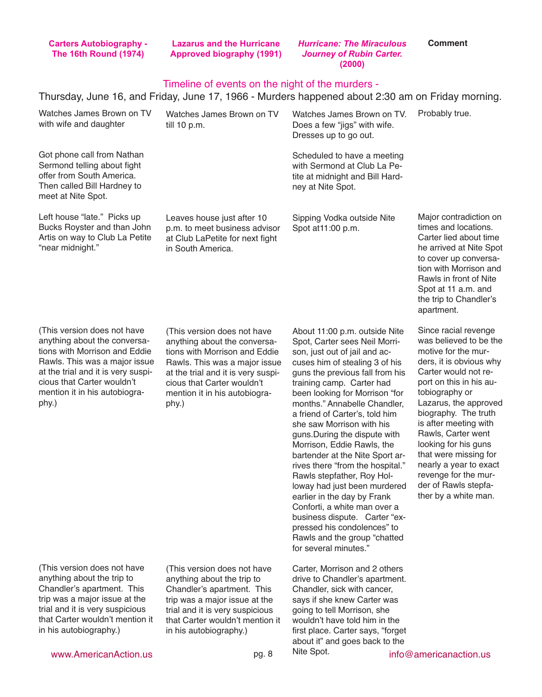| <b>Carters Autobiography -</b> |  |
|--------------------------------|--|
| <b>The 16th Round (1974)</b>   |  |

**Lazarus and the Hurricane Approved biography (1991)** *Journey of Rubin Carter.*

*Hurricane: The Miraculous*

**Comment**

|                                                                                                                                                                                                                                             |                                                                                                                                                                                                                                             | (2000)                                                                                                                                                                                                                                                                                                                                                                                                                                                                                                                                                                                                                                                                                                                         |                                                                                                                                                                                                                                                                                                                                                                                                                          |  |  |
|---------------------------------------------------------------------------------------------------------------------------------------------------------------------------------------------------------------------------------------------|---------------------------------------------------------------------------------------------------------------------------------------------------------------------------------------------------------------------------------------------|--------------------------------------------------------------------------------------------------------------------------------------------------------------------------------------------------------------------------------------------------------------------------------------------------------------------------------------------------------------------------------------------------------------------------------------------------------------------------------------------------------------------------------------------------------------------------------------------------------------------------------------------------------------------------------------------------------------------------------|--------------------------------------------------------------------------------------------------------------------------------------------------------------------------------------------------------------------------------------------------------------------------------------------------------------------------------------------------------------------------------------------------------------------------|--|--|
| Timeline of events on the night of the murders -<br>Thursday, June 16, and Friday, June 17, 1966 - Murders happened about 2:30 am on Friday morning.                                                                                        |                                                                                                                                                                                                                                             |                                                                                                                                                                                                                                                                                                                                                                                                                                                                                                                                                                                                                                                                                                                                |                                                                                                                                                                                                                                                                                                                                                                                                                          |  |  |
| Watches James Brown on TV<br>with wife and daughter                                                                                                                                                                                         | Watches James Brown on TV<br>till 10 p.m.                                                                                                                                                                                                   | Watches James Brown on TV.<br>Does a few "jigs" with wife.<br>Dresses up to go out.                                                                                                                                                                                                                                                                                                                                                                                                                                                                                                                                                                                                                                            | Probably true.                                                                                                                                                                                                                                                                                                                                                                                                           |  |  |
| Got phone call from Nathan<br>Sermond telling about fight<br>offer from South America.<br>Then called Bill Hardney to<br>meet at Nite Spot.                                                                                                 |                                                                                                                                                                                                                                             | Scheduled to have a meeting<br>with Sermond at Club La Pe-<br>tite at midnight and Bill Hard-<br>ney at Nite Spot.                                                                                                                                                                                                                                                                                                                                                                                                                                                                                                                                                                                                             |                                                                                                                                                                                                                                                                                                                                                                                                                          |  |  |
| Left house "late." Picks up<br>Bucks Royster and than John<br>Artis on way to Club La Petite<br>"near midnight."                                                                                                                            | Leaves house just after 10<br>p.m. to meet business advisor<br>at Club LaPetite for next fight<br>in South America.                                                                                                                         | Sipping Vodka outside Nite<br>Spot at 11:00 p.m.                                                                                                                                                                                                                                                                                                                                                                                                                                                                                                                                                                                                                                                                               | Major contradiction on<br>times and locations.<br>Carter lied about time<br>he arrived at Nite Spot<br>to cover up conversa-<br>tion with Morrison and<br>Rawls in front of Nite<br>Spot at 11 a.m. and<br>the trip to Chandler's<br>apartment.                                                                                                                                                                          |  |  |
| (This version does not have<br>anything about the conversa-<br>tions with Morrison and Eddie<br>Rawls. This was a major issue<br>at the trial and it is very suspi-<br>cious that Carter wouldn't<br>mention it in his autobiogra-<br>phy.) | (This version does not have<br>anything about the conversa-<br>tions with Morrison and Eddie<br>Rawls. This was a major issue<br>at the trial and it is very suspi-<br>cious that Carter wouldn't<br>mention it in his autobiogra-<br>phy.) | About 11:00 p.m. outside Nite<br>Spot, Carter sees Neil Morri-<br>son, just out of jail and ac-<br>cuses him of stealing 3 of his<br>guns the previous fall from his<br>training camp. Carter had<br>been looking for Morrison "for<br>months." Annabelle Chandler,<br>a friend of Carter's, told him<br>she saw Morrison with his<br>guns. During the dispute with<br>Morrison, Eddie Rawls, the<br>bartender at the Nite Sport ar-<br>rives there "from the hospital."<br>Rawls stepfather, Roy Hol-<br>loway had just been murdered<br>earlier in the day by Frank<br>Conforti, a white man over a<br>business dispute. Carter "ex-<br>pressed his condolences" to<br>Rawls and the group "chatted<br>for several minutes." | Since racial revenge<br>was believed to be the<br>motive for the mur-<br>ders, it is obvious why<br>Carter would not re-<br>port on this in his au-<br>tobiography or<br>Lazarus, the approved<br>biography. The truth<br>is after meeting with<br>Rawls, Carter went<br>looking for his guns<br>that were missing for<br>nearly a year to exact<br>revenge for the mur-<br>der of Rawls stepfa-<br>ther by a white man. |  |  |
| (This version does not have<br>anything about the trip to<br>Chandler's apartment. This<br>trip was a major issue at the<br>trial and it is very suspicious<br>that Carter wouldn't mention it<br>in his autobiography.)                    | (This version does not have<br>anything about the trip to<br>Chandler's apartment. This<br>trip was a major issue at the<br>trial and it is very suspicious<br>that Carter wouldn't mention it<br>in his autobiography.)                    | Carter, Morrison and 2 others<br>drive to Chandler's apartment.<br>Chandler, sick with cancer,<br>says if she knew Carter was<br>going to tell Morrison, she<br>wouldn't have told him in the<br>first place. Carter says, "forget<br>about it" and goes back to the                                                                                                                                                                                                                                                                                                                                                                                                                                                           |                                                                                                                                                                                                                                                                                                                                                                                                                          |  |  |

Nite Spot.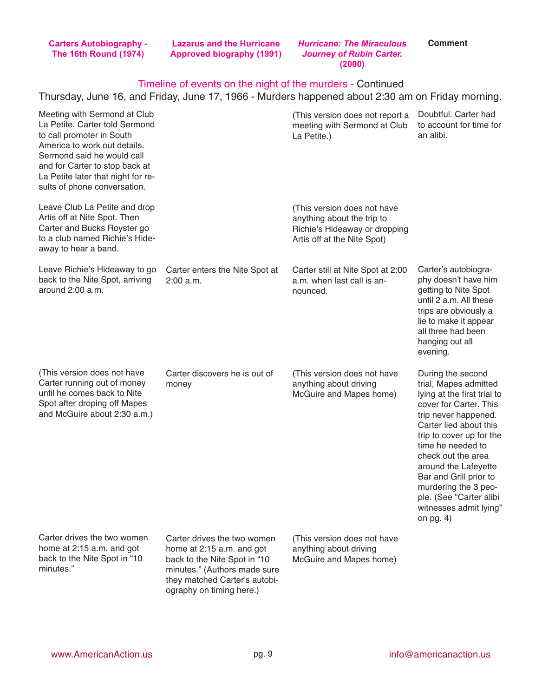**Carters Autobiography - The 16th Round (1974)**

**Lazarus and the Hurricane Approved biography (1991)**

*Hurricane: The Miraculous Journey of Rubin Carter.* **(2000)**

**Comment**

### Timeline of events on the night of the murders - Continued

#### Thursday, June 16, and Friday, June 17, 1966 - Murders happened about 2:30 am on Friday morning.

| Meeting with Sermond at Club<br>La Petite. Carter told Sermond<br>to call promoter in South<br>America to work out details.<br>Sermond said he would call<br>and for Carter to stop back at<br>La Petite later that night for re-<br>sults of phone conversation. |                                                                                                                                                           | (This version does not report a<br>meeting with Sermond at Club<br>La Petite.)                                            | Doubtful. Carter had<br>to account for time for<br>an alibi.                                                                                                                                                                                                                                                                                                               |
|-------------------------------------------------------------------------------------------------------------------------------------------------------------------------------------------------------------------------------------------------------------------|-----------------------------------------------------------------------------------------------------------------------------------------------------------|---------------------------------------------------------------------------------------------------------------------------|----------------------------------------------------------------------------------------------------------------------------------------------------------------------------------------------------------------------------------------------------------------------------------------------------------------------------------------------------------------------------|
| Leave Club La Petite and drop<br>Artis off at Nite Spot. Then<br>Carter and Bucks Royster go<br>to a club named Richie's Hide-<br>away to hear a band.                                                                                                            |                                                                                                                                                           | (This version does not have<br>anything about the trip to<br>Richie's Hideaway or dropping<br>Artis off at the Nite Spot) |                                                                                                                                                                                                                                                                                                                                                                            |
| Leave Richie's Hideaway to go<br>back to the Nite Spot, arriving<br>around 2:00 a.m.                                                                                                                                                                              | Carter enters the Nite Spot at<br>2:00 a.m.                                                                                                               | Carter still at Nite Spot at 2:00<br>a.m. when last call is an-<br>nounced.                                               | Carter's autobiogra-<br>phy doesn't have him<br>getting to Nite Spot<br>until 2 a.m. All these<br>trips are obviously a<br>lie to make it appear<br>all three had been<br>hanging out all<br>evening.                                                                                                                                                                      |
| (This version does not have<br>Carter running out of money<br>until he comes back to Nite<br>Spot after droping off Mapes<br>and McGuire about 2:30 a.m.)                                                                                                         | Carter discovers he is out of<br>money                                                                                                                    | (This version does not have<br>anything about driving<br>McGuire and Mapes home)                                          | During the second<br>trial, Mapes admitted<br>lying at the first trial to<br>cover for Carter. This<br>trip never happened.<br>Carter lied about this<br>trip to cover up for the<br>time he needed to<br>check out the area<br>around the Lafeyette<br>Bar and Grill prior to<br>murdering the 3 peo-<br>ple. (See "Carter alibi<br>witnesses admit lying"<br>on pg. $4)$ |
| Carter drives the two women<br>home at 2:15 a.m. and got<br>back to the Nite Spot in "10<br>minutes."                                                                                                                                                             | Carter drives the two women<br>home at 2:15 a.m. and got<br>back to the Nite Spot in "10<br>minutes." (Authors made sure<br>they matched Carter's autobi- | (This version does not have<br>anything about driving<br>McGuire and Mapes home)                                          |                                                                                                                                                                                                                                                                                                                                                                            |

ography on timing here.)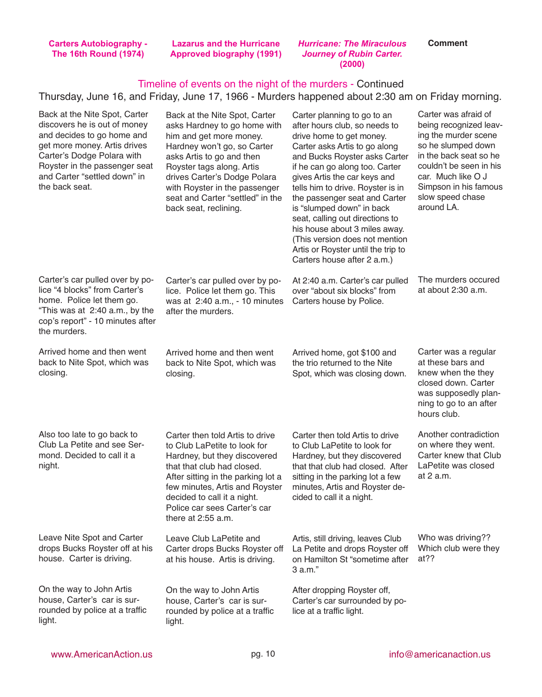**Carters Autobiography - The 16th Round (1974)**

**Lazarus and the Hurricane**

**Approved biography (1991)** *Journey of Rubin Carter. Hurricane: The Miraculous* **(2000)**

**Comment**

### Timeline of events on the night of the murders - Continued

#### Thursday, June 16, and Friday, June 17, 1966 - Murders happened about 2:30 am on Friday morning.

| Back at the Nite Spot, Carter<br>discovers he is out of money<br>and decides to go home and<br>get more money. Artis drives<br>Carter's Dodge Polara with<br>Royster in the passenger seat<br>and Carter "settled down" in<br>the back seat. | Back at the Nite Spot, Carter<br>asks Hardney to go home with<br>him and get more money.<br>Hardney won't go, so Carter<br>asks Artis to go and then<br>Royster tags along. Artis<br>drives Carter's Dodge Polara<br>with Royster in the passenger<br>seat and Carter "settled" in the<br>back seat, reclining. | Carter planning to go to an<br>after hours club, so needs to<br>drive home to get money.<br>Carter asks Artis to go along<br>and Bucks Royster asks Carter<br>if he can go along too. Carter<br>gives Artis the car keys and<br>tells him to drive. Royster is in<br>the passenger seat and Carter<br>is "slumped down" in back<br>seat, calling out directions to<br>his house about 3 miles away.<br>(This version does not mention<br>Artis or Royster until the trip to<br>Carters house after 2 a.m.) | Carter was afraid of<br>being recognized leav-<br>ing the murder scene<br>so he slumped down<br>in the back seat so he<br>couldn't be seen in his<br>car. Much like O J<br>Simpson in his famous<br>slow speed chase<br>around LA. |
|----------------------------------------------------------------------------------------------------------------------------------------------------------------------------------------------------------------------------------------------|-----------------------------------------------------------------------------------------------------------------------------------------------------------------------------------------------------------------------------------------------------------------------------------------------------------------|------------------------------------------------------------------------------------------------------------------------------------------------------------------------------------------------------------------------------------------------------------------------------------------------------------------------------------------------------------------------------------------------------------------------------------------------------------------------------------------------------------|------------------------------------------------------------------------------------------------------------------------------------------------------------------------------------------------------------------------------------|
| Carter's car pulled over by po-<br>lice "4 blocks" from Carter's<br>home. Police let them go.<br>"This was at 2:40 a.m., by the<br>cop's report" - 10 minutes after<br>the murders.                                                          | Carter's car pulled over by po-<br>lice. Police let them go. This<br>was at 2:40 a.m., - 10 minutes<br>after the murders.                                                                                                                                                                                       | At 2:40 a.m. Carter's car pulled<br>over "about six blocks" from<br>Carters house by Police.                                                                                                                                                                                                                                                                                                                                                                                                               | The murders occured<br>at about 2:30 a.m.                                                                                                                                                                                          |
| Arrived home and then went<br>back to Nite Spot, which was<br>closing.                                                                                                                                                                       | Arrived home and then went<br>back to Nite Spot, which was<br>closing.                                                                                                                                                                                                                                          | Arrived home, got \$100 and<br>the trio returned to the Nite<br>Spot, which was closing down.                                                                                                                                                                                                                                                                                                                                                                                                              | Carter was a regular<br>at these bars and<br>knew when the they<br>closed down. Carter<br>was supposedly plan-<br>ning to go to an after<br>hours club.                                                                            |
| Also too late to go back to<br>Club La Petite and see Ser-<br>mond. Decided to call it a<br>night.                                                                                                                                           | Carter then told Artis to drive<br>to Club LaPetite to look for<br>Hardney, but they discovered<br>that that club had closed.<br>After sitting in the parking lot a<br>few minutes, Artis and Royster<br>decided to call it a night.<br>Police car sees Carter's car<br>there at 2:55 a.m.                      | Carter then told Artis to drive<br>to Club LaPetite to look for<br>Hardney, but they discovered<br>that that club had closed. After<br>sitting in the parking lot a few<br>minutes, Artis and Royster de-<br>cided to call it a night.                                                                                                                                                                                                                                                                     | Another contradiction<br>on where they went.<br>Carter knew that Club<br>LaPetite was closed<br>at 2 a.m.                                                                                                                          |
| Leave Nite Spot and Carter<br>drops Bucks Royster off at his<br>house. Carter is driving.                                                                                                                                                    | Leave Club LaPetite and<br>Carter drops Bucks Royster off<br>at his house. Artis is driving.                                                                                                                                                                                                                    | Artis, still driving, leaves Club<br>La Petite and drops Royster off<br>on Hamilton St "sometime after<br>3 a.m."                                                                                                                                                                                                                                                                                                                                                                                          | Who was driving??<br>Which club were they<br>at??                                                                                                                                                                                  |
| On the way to John Artis<br>house, Carter's car is sur-<br>rounded by police at a traffic<br>light.                                                                                                                                          | On the way to John Artis<br>house, Carter's car is sur-<br>rounded by police at a traffic<br>light.                                                                                                                                                                                                             | After dropping Royster off,<br>Carter's car surrounded by po-<br>lice at a traffic light.                                                                                                                                                                                                                                                                                                                                                                                                                  |                                                                                                                                                                                                                                    |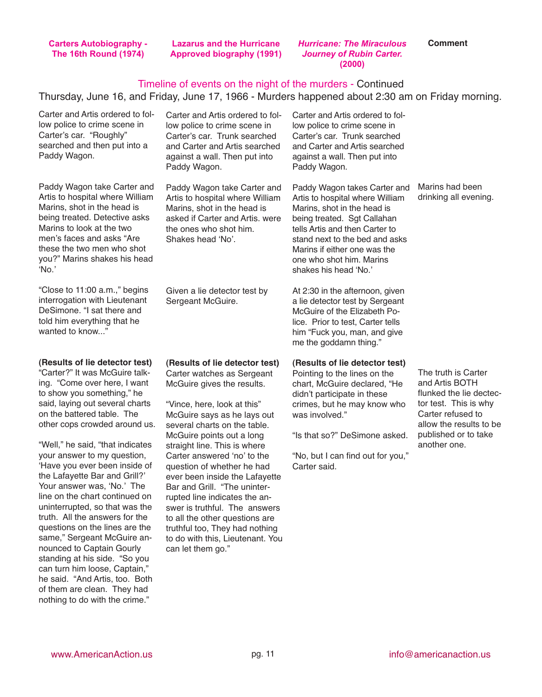**Carters Autobiography - The 16th Round (1974)**

**Lazarus and the Hurricane Approved biography (1991)** *Hurricane: The Miraculous Journey of Rubin Carter.* **(2000)**

**Comment**

#### Timeline of events on the night of the murders - Continued

Thursday, June 16, and Friday, June 17, 1966 - Murders happened about 2:30 am on Friday morning.

Carter and Artis ordered to follow police to crime scene in Carter's car. "Roughly" searched and then put into a Paddy Wagon.

Paddy Wagon take Carter and Artis to hospital where William Marins, shot in the head is being treated. Detective asks Marins to look at the two men's faces and asks "Are these the two men who shot you?" Marins shakes his head ʻNo.'

"Close to 11:00 a.m.," begins interrogation with Lieutenant DeSimone. "I sat there and told him everything that he wanted to know..."

**(Results of lie detector test)** "Carter?" It was McGuire talking. "Come over here, I want to show you something," he said, laying out several charts on the battered table. The other cops crowded around us.

"Well," he said, "that indicates your answer to my question, ʻHave you ever been inside of the Lafayette Bar and Grill?' Your answer was, ʻNo.' The line on the chart continued on uninterrupted, so that was the truth. All the answers for the questions on the lines are the same," Sergeant McGuire announced to Captain Gourly standing at his side. "So you can turn him loose, Captain," he said. "And Artis, too. Both of them are clean. They had nothing to do with the crime."

Carter and Artis ordered to follow police to crime scene in Carter's car. Trunk searched and Carter and Artis searched against a wall. Then put into Paddy Wagon.

Paddy Wagon take Carter and Artis to hospital where William Marins, shot in the head is asked if Carter and Artis. were the ones who shot him. Shakes head ʻNo'.

Given a lie detector test by Sergeant McGuire.

**(Results of lie detector test)**

Carter watches as Sergeant McGuire gives the results.

"Vince, here, look at this" McGuire says as he lays out several charts on the table. McGuire points out a long straight line. This is where Carter answered ʻno' to the question of whether he had ever been inside the Lafayette Bar and Grill. "The uninterrupted line indicates the answer is truthful. The answers to all the other questions are truthful too, They had nothing to do with this, Lieutenant. You can let them go."

Carter and Artis ordered to follow police to crime scene in Carter's car. Trunk searched and Carter and Artis searched against a wall. Then put into Paddy Wagon.

Paddy Wagon takes Carter and Artis to hospital where William Marins, shot in the head is being treated. Sgt Callahan tells Artis and then Carter to stand next to the bed and asks Marins if either one was the one who shot him. Marins shakes his head ʻNo.'

At 2:30 in the afternoon, given a lie detector test by Sergeant McGuire of the Elizabeth Police. Prior to test, Carter tells him "Fuck you, man, and give me the goddamn thing."

#### **(Results of lie detector test)**

Pointing to the lines on the chart, McGuire declared, "He didn't participate in these crimes, but he may know who was involved."

"Is that so?" DeSimone asked.

"No, but I can find out for you," Carter said.

Marins had been drinking all evening.

The truth is Carter and Artis BOTH flunked the lie dectector test. This is why Carter refused to allow the results to be published or to take another one.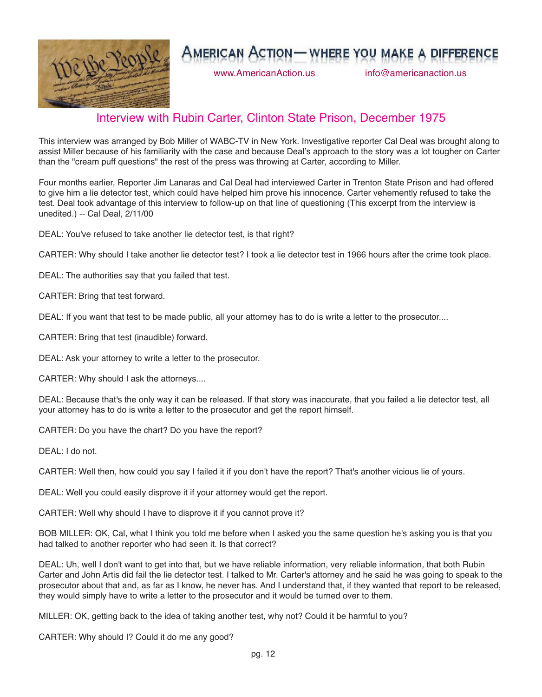

www.AmericanAction.us info@americanaction.us

## Interview with Rubin Carter, Clinton State Prison, December 1975

This interview was arranged by Bob Miller of WABC-TV in New York. Investigative reporter Cal Deal was brought along to assist Miller because of his familiarity with the case and because Deal's approach to the story was a lot tougher on Carter than the "cream puff questions" the rest of the press was throwing at Carter, according to Miller.

Four months earlier, Reporter Jim Lanaras and Cal Deal had interviewed Carter in Trenton State Prison and had offered to give him a lie detector test, which could have helped him prove his innocence. Carter vehemently refused to take the test. Deal took advantage of this interview to follow-up on that line of questioning (This excerpt from the interview is unedited.) -- Cal Deal, 2/11/00

DEAL: You've refused to take another lie detector test, is that right?

CARTER: Why should I take another lie detector test? I took a lie detector test in 1966 hours after the crime took place.

DEAL: The authorities say that you failed that test.

CARTER: Bring that test forward.

DEAL: If you want that test to be made public, all your attorney has to do is write a letter to the prosecutor....

CARTER: Bring that test (inaudible) forward.

DEAL: Ask your attorney to write a letter to the prosecutor.

CARTER: Why should I ask the attorneys....

DEAL: Because that's the only way it can be released. If that story was inaccurate, that you failed a lie detector test, all your attorney has to do is write a letter to the prosecutor and get the report himself.

CARTER: Do you have the chart? Do you have the report?

DEAL: I do not.

CARTER: Well then, how could you say I failed it if you don't have the report? That's another vicious lie of yours.

DEAL: Well you could easily disprove it if your attorney would get the report.

CARTER: Well why should I have to disprove it if you cannot prove it?

BOB MILLER: OK, Cal, what I think you told me before when I asked you the same question he's asking you is that you had talked to another reporter who had seen it. Is that correct?

DEAL: Uh, well I don't want to get into that, but we have reliable information, very reliable information, that both Rubin Carter and John Artis did fail the lie detector test. I talked to Mr. Carter's attorney and he said he was going to speak to the prosecutor about that and, as far as I know, he never has. And I understand that, if they wanted that report to be released, they would simply have to write a letter to the prosecutor and it would be turned over to them.

MILLER: OK, getting back to the idea of taking another test, why not? Could it be harmful to you?

CARTER: Why should I? Could it do me any good?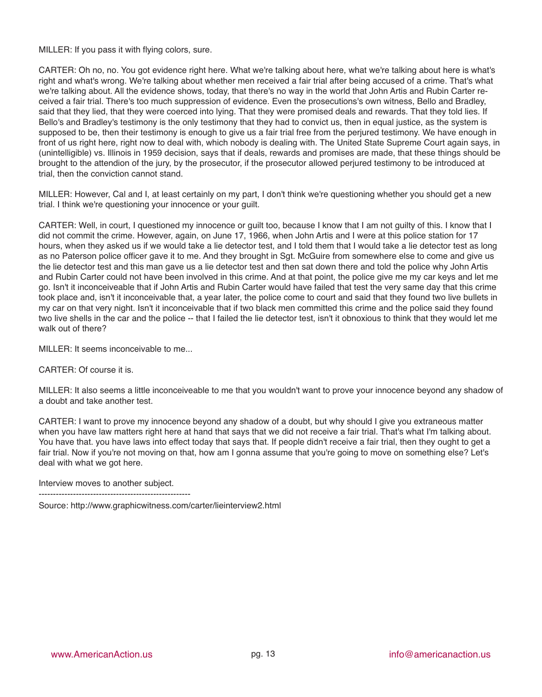MILLER: If you pass it with flying colors, sure.

CARTER: Oh no, no. You got evidence right here. What we're talking about here, what we're talking about here is what's right and what's wrong. We're talking about whether men received a fair trial after being accused of a crime. That's what we're talking about. All the evidence shows, today, that there's no way in the world that John Artis and Rubin Carter received a fair trial. There's too much suppression of evidence. Even the prosecutions's own witness, Bello and Bradley, said that they lied, that they were coerced into lying. That they were promised deals and rewards. That they told lies. If Bello's and Bradley's testimony is the only testimony that they had to convict us, then in equal justice, as the system is supposed to be, then their testimony is enough to give us a fair trial free from the perjured testimony. We have enough in front of us right here, right now to deal with, which nobody is dealing with. The United State Supreme Court again says, in (unintelligible) vs. Illinois in 1959 decision, says that if deals, rewards and promises are made, that these things should be brought to the attendion of the jury, by the prosecutor, if the prosecutor allowed perjured testimony to be introduced at trial, then the conviction cannot stand.

MILLER: However, Cal and I, at least certainly on my part, I don't think we're questioning whether you should get a new trial. I think we're questioning your innocence or your guilt.

CARTER: Well, in court, I questioned my innocence or guilt too, because I know that I am not guilty of this. I know that I did not commit the crime. However, again, on June 17, 1966, when John Artis and I were at this police station for 17 hours, when they asked us if we would take a lie detector test, and I told them that I would take a lie detector test as long as no Paterson police officer gave it to me. And they brought in Sgt. McGuire from somewhere else to come and give us the lie detector test and this man gave us a lie detector test and then sat down there and told the police why John Artis and Rubin Carter could not have been involved in this crime. And at that point, the police give me my car keys and let me go. Isn't it inconceiveable that if John Artis and Rubin Carter would have failed that test the very same day that this crime took place and, isn't it inconceivable that, a year later, the police come to court and said that they found two live bullets in my car on that very night. Isn't it inconceivable that if two black men committed this crime and the police said they found two live shells in the car and the police -- that I failed the lie detector test, isn't it obnoxious to think that they would let me walk out of there?

MILLER: It seems inconceivable to me...

CARTER: Of course it is.

MILLER: It also seems a little inconceiveable to me that you wouldn't want to prove your innocence beyond any shadow of a doubt and take another test.

CARTER: I want to prove my innocence beyond any shadow of a doubt, but why should I give you extraneous matter when you have law matters right here at hand that says that we did not receive a fair trial. That's what I'm talking about. You have that. you have laws into effect today that says that. If people didn't receive a fair trial, then they ought to get a fair trial. Now if you're not moving on that, how am I gonna assume that you're going to move on something else? Let's deal with what we got here.

Interview moves to another subject.

-----------------------------------------------------

Source: http://www.graphicwitness.com/carter/lieinterview2.html